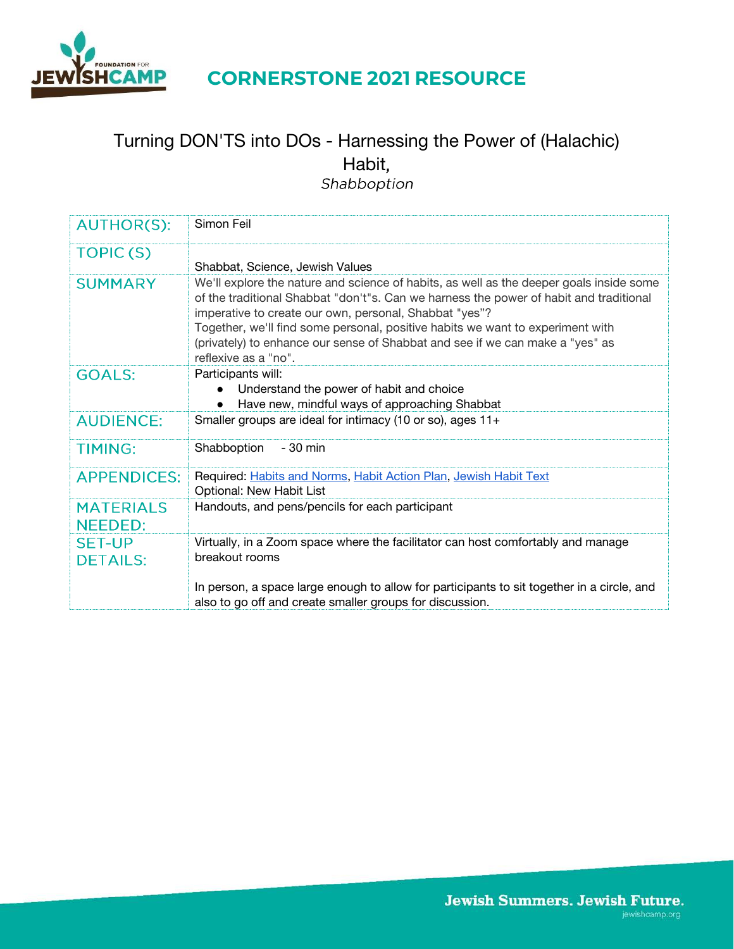

## **CORNERSTONE 2021 RESOURCE**

# Turning DON'TS into DOs - Harnessing the Power of (Halachic) Habit,<br>Shabboption

| <b>AUTHOR(S):</b>                  | Simon Feil                                                                                                                                                                                                                                                                                                                                                                                                                             |
|------------------------------------|----------------------------------------------------------------------------------------------------------------------------------------------------------------------------------------------------------------------------------------------------------------------------------------------------------------------------------------------------------------------------------------------------------------------------------------|
| TOPIC(S)                           | Shabbat, Science, Jewish Values                                                                                                                                                                                                                                                                                                                                                                                                        |
| <b>SUMMARY</b>                     | We'll explore the nature and science of habits, as well as the deeper goals inside some<br>of the traditional Shabbat "don't"s. Can we harness the power of habit and traditional<br>imperative to create our own, personal, Shabbat "yes"?<br>Together, we'll find some personal, positive habits we want to experiment with<br>(privately) to enhance our sense of Shabbat and see if we can make a "yes" as<br>reflexive as a "no". |
| <b>GOALS:</b>                      | Participants will:<br>Understand the power of habit and choice<br>Have new, mindful ways of approaching Shabbat                                                                                                                                                                                                                                                                                                                        |
| <b>AUDIENCE:</b>                   | Smaller groups are ideal for intimacy (10 or so), ages 11+                                                                                                                                                                                                                                                                                                                                                                             |
| <b>TIMING:</b>                     | Shabboption<br>- 30 min                                                                                                                                                                                                                                                                                                                                                                                                                |
| <b>APPENDICES:</b>                 | Required: Habits and Norms, Habit Action Plan, Jewish Habit Text<br>Optional: New Habit List                                                                                                                                                                                                                                                                                                                                           |
| <b>MATERIALS</b><br><b>NEEDED:</b> | Handouts, and pens/pencils for each participant                                                                                                                                                                                                                                                                                                                                                                                        |
| <b>SET-UP</b><br><b>DETAILS:</b>   | Virtually, in a Zoom space where the facilitator can host comfortably and manage<br>breakout rooms                                                                                                                                                                                                                                                                                                                                     |
|                                    | In person, a space large enough to allow for participants to sit together in a circle, and<br>also to go off and create smaller groups for discussion.                                                                                                                                                                                                                                                                                 |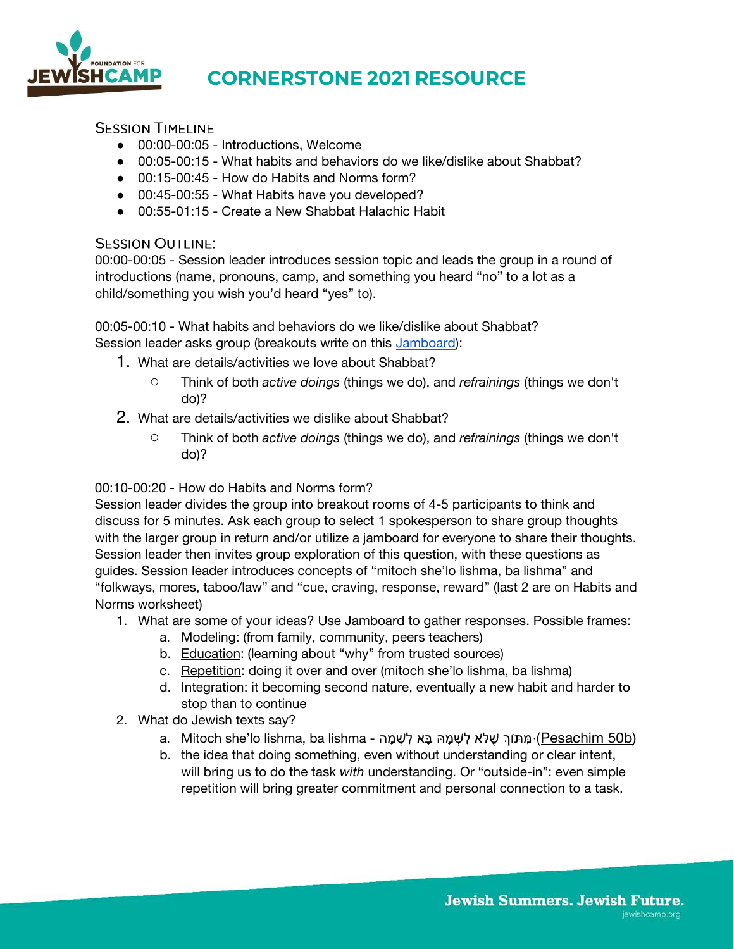

# **CORNERSTONE 2021 RESOURCE**

**SESSION TIMELINE** 

- 00:00-00:05 Introductions, Welcome
- 00:05-00:15 What habits and behaviors do we like/dislike about Shabbat?
- 00:15-00:45 How do Habits and Norms form?
- 00:45-00:55 What Habits have you developed?
- 00:55-01:15 Create a New Shabbat Halachic Habit

## **SESSION OUTLINE:**

00:00-00:05 - Session leader introduces session topic and leads the group in a round of introductions (name, pronouns, camp, and something you heard "no" to a lot as a child/something you wish you'd heard "yes" to).

00:05-00:10 - What habits and behaviors do we like/dislike about Shabbat? Session leader asks group (breakouts write on this [Jamboard\)](https://jamboard.google.com/d/1yvNoc69dOB9HJQ--2M-d-Duf1HruYe8jyTxhY9agjdQ/copy):

- 1. What are details/activities we love about Shabbat?
	- Think of both *active doings* (things we do), and *refrainings* (things we don't do)?
- 2. What are details/activities we dislike about Shabbat?
	- Think of both *active doings* (things we do), and *refrainings* (things we don't do)?

00:10-00:20 - How do Habits and Norms form?

Session leader divides the group into breakout rooms of 4-5 participants to think and discuss for 5 minutes. Ask each group to select 1 spokesperson to share group thoughts with the larger group in return and/or utilize a jamboard for everyone to share their thoughts. Session leader then invites group exploration of this question, with these questions as guides. Session leader introduces concepts of "mitoch she'lo lishma, ba lishma" and "folkways, mores, taboo/law" and "cue, craving, response, reward" (last 2 are on Habits and Norms worksheet)

- 1. What are some of your ideas? Use Jamboard to gather responses. Possible frames:
	- a. Modeling: (from family, community, peers teachers)
	- b. Education: (learning about "why" from trusted sources)
	- c. Repetition: doing it over and over (mitoch she'lo lishma, ba lishma)
	- d. Integration: it becoming second nature, eventually a new habit and harder to stop than to continue
- 2. What do Jewish texts say?
	- a. Mitoch she'lo lishma, ba lishma מְתּוֹךְ שֶׁלֹּא לְשָׁמָה בָּא לְשָׁמָה (<u>Pesachim 50b)</u>
	- b. the idea that doing something, even without understanding or clear intent, will bring us to do the task *with* understanding. Or "outside-in": even simple repetition will bring greater commitment and personal connection to a task.